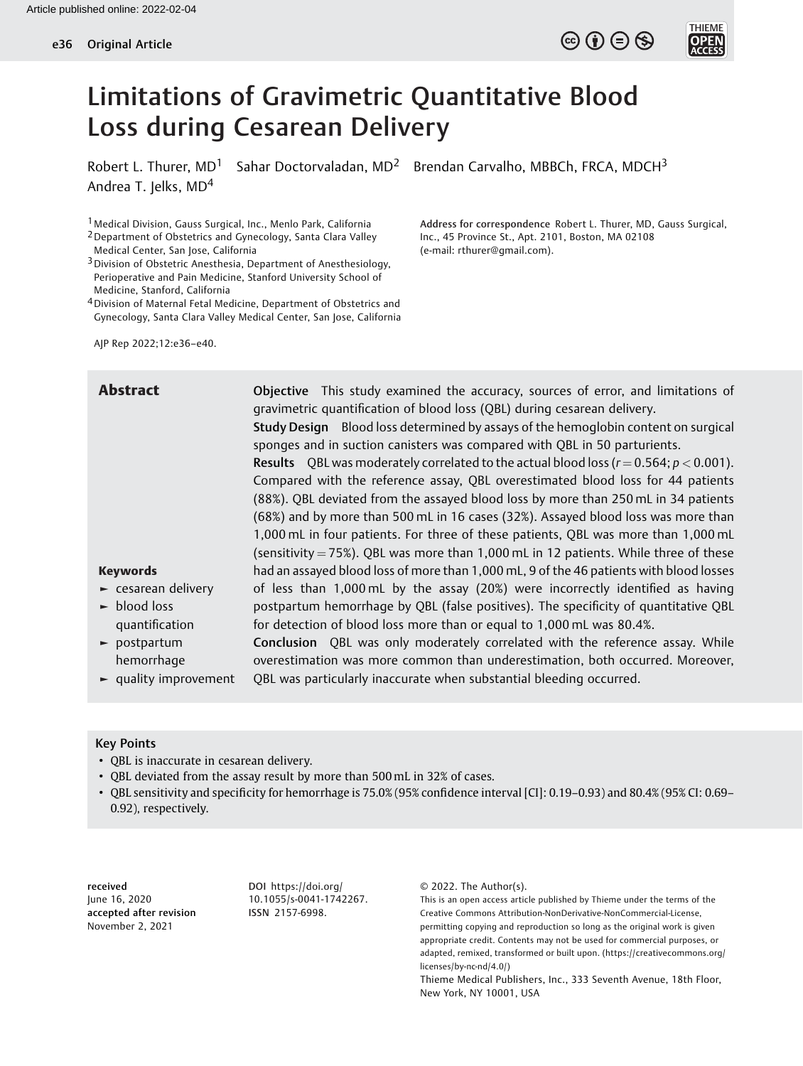Robert L. Thurer,  $MD<sup>1</sup>$  Sahar Doctorvaladan,  $MD<sup>2</sup>$  Brendan Carvalho, MBBCh, FRCA, MDCH<sup>3</sup> Andrea T. Jelks, MD<sup>4</sup>

Inc., 45 Province St., Apt. 2101, Boston, MA 02108

(e-mail: [rthurer@gmail.com](mailto:rthurer@gmail.com)).

Address for correspondence Robert L. Thurer, MD, Gauss Surgical,

 $\circledcirc$  (i)  $\ominus$   $\circledcirc$ 

1Medical Division, Gauss Surgical, Inc., Menlo Park, California

- 2Department of Obstetrics and Gynecology, Santa Clara Valley Medical Center, San Jose, California
- 3Division of Obstetric Anesthesia, Department of Anesthesiology, Perioperative and Pain Medicine, Stanford University School of Medicine, Stanford, California
- 4Division of Maternal Fetal Medicine, Department of Obstetrics and Gynecology, Santa Clara Valley Medical Center, San Jose, California

AJP Rep 2022;12:e36–e40.

Abstract **Objective** This study examined the accuracy, sources of error, and limitations of gravimetric quantification of blood loss (QBL) during cesarean delivery. Study Design Blood loss determined by assays of the hemoglobin content on surgical sponges and in suction canisters was compared with QBL in 50 parturients. **Results** OBL was moderately correlated to the actual blood loss  $(r = 0.564; p < 0.001)$ . Compared with the reference assay, QBL overestimated blood loss for 44 patients (88%). QBL deviated from the assayed blood loss by more than 250 mL in 34 patients (68%) and by more than 500 mL in 16 cases (32%). Assayed blood loss was more than 1,000 mL in four patients. For three of these patients, QBL was more than 1,000 mL (sensitivity  $= 75\%$ ). OBL was more than 1,000 mL in 12 patients. While three of these had an assayed blood loss of more than 1,000 mL, 9 of the 46 patients with blood losses of less than 1,000 mL by the assay (20%) were incorrectly identified as having postpartum hemorrhage by QBL (false positives). The specificity of quantitative QBL for detection of blood loss more than or equal to 1,000 mL was 80.4%. Conclusion QBL was only moderately correlated with the reference assay. While

► postpartum hemorrhage ► quality improvement overestimation was more common than underestimation, both occurred. Moreover, QBL was particularly inaccurate when substantial bleeding occurred.

## Key Points

Keywords

► blood loss quantification

► cesarean delivery

- QBL is inaccurate in cesarean delivery.
- QBL deviated from the assay result by more than 500 mL in 32% of cases.
- QBL sensitivity and specificity for hemorrhage is 75.0% (95% confidence interval [CI]: 0.19–0.93) and 80.4% (95% CI: 0.69– 0.92), respectively.

received June 16, 2020 accepted after revision November 2, 2021

DOI [https://doi.org/](https://doi.org/10.1055/s-0041-1742267) [10.1055/s-0041-1742267](https://doi.org/10.1055/s-0041-1742267). ISSN 2157-6998.

© 2022. The Author(s).

This is an open access article published by Thieme under the terms of the Creative Commons Attribution-NonDerivative-NonCommercial-License, permitting copying and reproduction so long as the original work is given appropriate credit. Contents may not be used for commercial purposes, or adapted, remixed, transformed or built upon. (https://creativecommons.org/ licenses/by-nc-nd/4.0/)

Thieme Medical Publishers, Inc., 333 Seventh Avenue, 18th Floor, New York, NY 10001, USA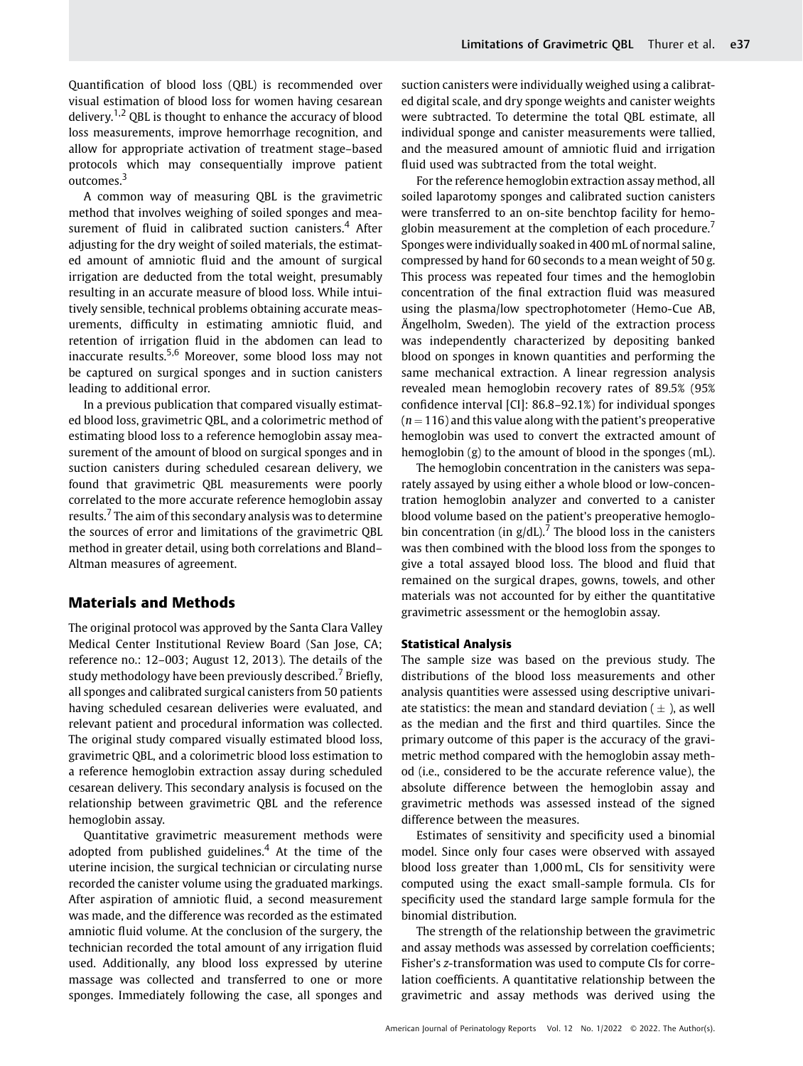Quantification of blood loss (QBL) is recommended over visual estimation of blood loss for women having cesarean delivery.<sup>1,2</sup> OBL is thought to enhance the accuracy of blood loss measurements, improve hemorrhage recognition, and allow for appropriate activation of treatment stage–based protocols which may consequentially improve patient outcomes.<sup>3</sup>

A common way of measuring QBL is the gravimetric method that involves weighing of soiled sponges and measurement of fluid in calibrated suction canisters.<sup>4</sup> After adjusting for the dry weight of soiled materials, the estimated amount of amniotic fluid and the amount of surgical irrigation are deducted from the total weight, presumably resulting in an accurate measure of blood loss. While intuitively sensible, technical problems obtaining accurate measurements, difficulty in estimating amniotic fluid, and retention of irrigation fluid in the abdomen can lead to inaccurate results.5,6 Moreover, some blood loss may not be captured on surgical sponges and in suction canisters leading to additional error.

In a previous publication that compared visually estimated blood loss, gravimetric QBL, and a colorimetric method of estimating blood loss to a reference hemoglobin assay measurement of the amount of blood on surgical sponges and in suction canisters during scheduled cesarean delivery, we found that gravimetric QBL measurements were poorly correlated to the more accurate reference hemoglobin assay results.<sup>7</sup> The aim of this secondary analysis was to determine the sources of error and limitations of the gravimetric QBL method in greater detail, using both correlations and Bland– Altman measures of agreement.

# Materials and Methods

The original protocol was approved by the Santa Clara Valley Medical Center Institutional Review Board (San Jose, CA; reference no.: 12–003; August 12, 2013). The details of the study methodology have been previously described.<sup>7</sup> Briefly, all sponges and calibrated surgical canisters from 50 patients having scheduled cesarean deliveries were evaluated, and relevant patient and procedural information was collected. The original study compared visually estimated blood loss, gravimetric QBL, and a colorimetric blood loss estimation to a reference hemoglobin extraction assay during scheduled cesarean delivery. This secondary analysis is focused on the relationship between gravimetric QBL and the reference hemoglobin assay.

Quantitative gravimetric measurement methods were adopted from published guidelines.<sup>4</sup> At the time of the uterine incision, the surgical technician or circulating nurse recorded the canister volume using the graduated markings. After aspiration of amniotic fluid, a second measurement was made, and the difference was recorded as the estimated amniotic fluid volume. At the conclusion of the surgery, the technician recorded the total amount of any irrigation fluid used. Additionally, any blood loss expressed by uterine massage was collected and transferred to one or more sponges. Immediately following the case, all sponges and suction canisters were individually weighed using a calibrated digital scale, and dry sponge weights and canister weights were subtracted. To determine the total QBL estimate, all individual sponge and canister measurements were tallied, and the measured amount of amniotic fluid and irrigation fluid used was subtracted from the total weight.

For the reference hemoglobin extraction assay method, all soiled laparotomy sponges and calibrated suction canisters were transferred to an on-site benchtop facility for hemoglobin measurement at the completion of each procedure.<sup>7</sup> Sponges were individually soaked in 400 mL of normal saline, compressed by hand for 60 seconds to a mean weight of 50 g. This process was repeated four times and the hemoglobin concentration of the final extraction fluid was measured using the plasma/low spectrophotometer (Hemo-Cue AB, Ängelholm, Sweden). The yield of the extraction process was independently characterized by depositing banked blood on sponges in known quantities and performing the same mechanical extraction. A linear regression analysis revealed mean hemoglobin recovery rates of 89.5% (95% confidence interval [CI]: 86.8–92.1%) for individual sponges  $(n = 116)$  and this value along with the patient's preoperative hemoglobin was used to convert the extracted amount of hemoglobin (g) to the amount of blood in the sponges (mL).

The hemoglobin concentration in the canisters was separately assayed by using either a whole blood or low-concentration hemoglobin analyzer and converted to a canister blood volume based on the patient's preoperative hemoglobin concentration (in  $g/dL$ ).<sup>7</sup> The blood loss in the canisters was then combined with the blood loss from the sponges to give a total assayed blood loss. The blood and fluid that remained on the surgical drapes, gowns, towels, and other materials was not accounted for by either the quantitative gravimetric assessment or the hemoglobin assay.

### Statistical Analysis

The sample size was based on the previous study. The distributions of the blood loss measurements and other analysis quantities were assessed using descriptive univariate statistics: the mean and standard deviation (  $\pm$  ), as well as the median and the first and third quartiles. Since the primary outcome of this paper is the accuracy of the gravimetric method compared with the hemoglobin assay method (i.e., considered to be the accurate reference value), the absolute difference between the hemoglobin assay and gravimetric methods was assessed instead of the signed difference between the measures.

Estimates of sensitivity and specificity used a binomial model. Since only four cases were observed with assayed blood loss greater than 1,000 mL, CIs for sensitivity were computed using the exact small-sample formula. CIs for specificity used the standard large sample formula for the binomial distribution.

The strength of the relationship between the gravimetric and assay methods was assessed by correlation coefficients; Fisher's z-transformation was used to compute CIs for correlation coefficients. A quantitative relationship between the gravimetric and assay methods was derived using the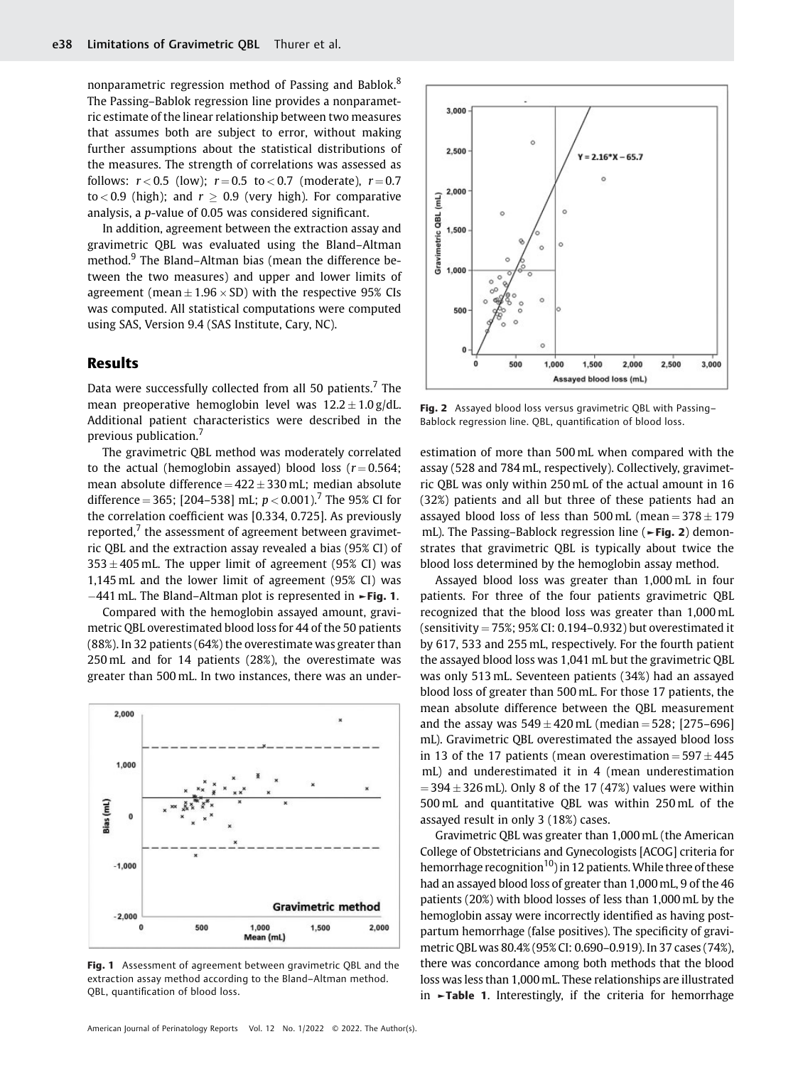nonparametric regression method of Passing and Bablok.<sup>8</sup> The Passing–Bablok regression line provides a nonparametric estimate of the linear relationship between two measures that assumes both are subject to error, without making further assumptions about the statistical distributions of the measures. The strength of correlations was assessed as follows:  $r < 0.5$  (low);  $r = 0.5$  to  $< 0.7$  (moderate),  $r = 0.7$ to < 0.9 (high); and  $r \ge 0.9$  (very high). For comparative analysis, a p-value of 0.05 was considered significant.

In addition, agreement between the extraction assay and gravimetric QBL was evaluated using the Bland–Altman method.<sup>9</sup> The Bland–Altman bias (mean the difference between the two measures) and upper and lower limits of agreement (mean $\pm 1.96 \times$ SD) with the respective  $95\%$  CIs was computed. All statistical computations were computed using SAS, Version 9.4 (SAS Institute, Cary, NC).

# Results

Data were successfully collected from all 50 patients.<sup>7</sup> The mean preoperative hemoglobin level was  $12.2 \pm 1.0\,\mathrm{g}/\mathrm{d} \mathrm{L}$ Additional patient characteristics were described in the previous publication.<sup>7</sup>

The gravimetric QBL method was moderately correlated to the actual (hemoglobin assayed) blood loss ( $r = 0.564$ ; mean absolute difference  $=$  422  $\pm$  330 mL; median absolute difference = 365; [204–538] mL;  $p < 0.001$ ).<sup>7</sup> The 95% CI for the correlation coefficient was [0.334, 0.725]. As previously reported, $7$  the assessment of agreement between gravimetric QBL and the extraction assay revealed a bias (95% CI) of  $353 \pm 405$  mL. The upper limit of agreement (95% CI) was 1,145 mL and the lower limit of agreement (95% CI) was  $-441$  mL. The Bland–Altman plot is represented in  $\blacktriangleright$  Fig. 1.

Compared with the hemoglobin assayed amount, gravimetric QBL overestimated blood loss for 44 of the 50 patients (88%). In 32 patients (64%) the overestimate was greater than 250 mL and for 14 patients (28%), the overestimate was greater than 500 mL. In two instances, there was an under-



Fig. 1 Assessment of agreement between gravimetric QBL and the extraction assay method according to the Bland–Altman method. QBL, quantification of blood loss.



Fig. 2 Assayed blood loss versus gravimetric QBL with Passing-Bablock regression line. QBL, quantification of blood loss.

estimation of more than 500 mL when compared with the assay (528 and 784 mL, respectively). Collectively, gravimetric QBL was only within 250 mL of the actual amount in 16 (32%) patients and all but three of these patients had an assayed blood loss of less than  $500 \,\mathrm{mL}$  (mean  $= 378 \pm 179$ mL). The Passing–Bablock regression line (►Fig. 2) demonstrates that gravimetric QBL is typically about twice the blood loss determined by the hemoglobin assay method.

Assayed blood loss was greater than 1,000 mL in four patients. For three of the four patients gravimetric QBL recognized that the blood loss was greater than 1,000 mL (sensitivity =  $75\%$ ; 95% CI: 0.194-0.932) but overestimated it by 617, 533 and 255 mL, respectively. For the fourth patient the assayed blood loss was 1,041 mL but the gravimetric QBL was only 513 mL. Seventeen patients (34%) had an assayed blood loss of greater than 500 mL. For those 17 patients, the mean absolute difference between the QBL measurement and the assay was  $549 \pm 420$  mL (median  $= 528$ ; [275–696] mL). Gravimetric QBL overestimated the assayed blood loss in 13 of the 17 patients (mean overestimation  $=$  597  $\pm$  445 mL) and underestimated it in 4 (mean underestimation  $=$  394  $\pm$  326 mL). Only 8 of the 17 (47%) values were within 500 mL and quantitative QBL was within 250 mL of the assayed result in only 3 (18%) cases.

Gravimetric QBL was greater than 1,000mL (the American College of Obstetricians and Gynecologists [ACOG] criteria for hemorrhage recognition<sup>10</sup>) in 12 patients. While three of these had an assayed blood loss of greater than 1,000mL, 9 of the 46 patients (20%) with blood losses of less than 1,000mL by the hemoglobin assay were incorrectly identified as having postpartum hemorrhage (false positives). The specificity of gravimetric QBL was 80.4% (95% CI: 0.690–0.919). In 37 cases (74%), there was concordance among both methods that the blood loss was less than 1,000mL. These relationships are illustrated in ►Table 1. Interestingly, if the criteria for hemorrhage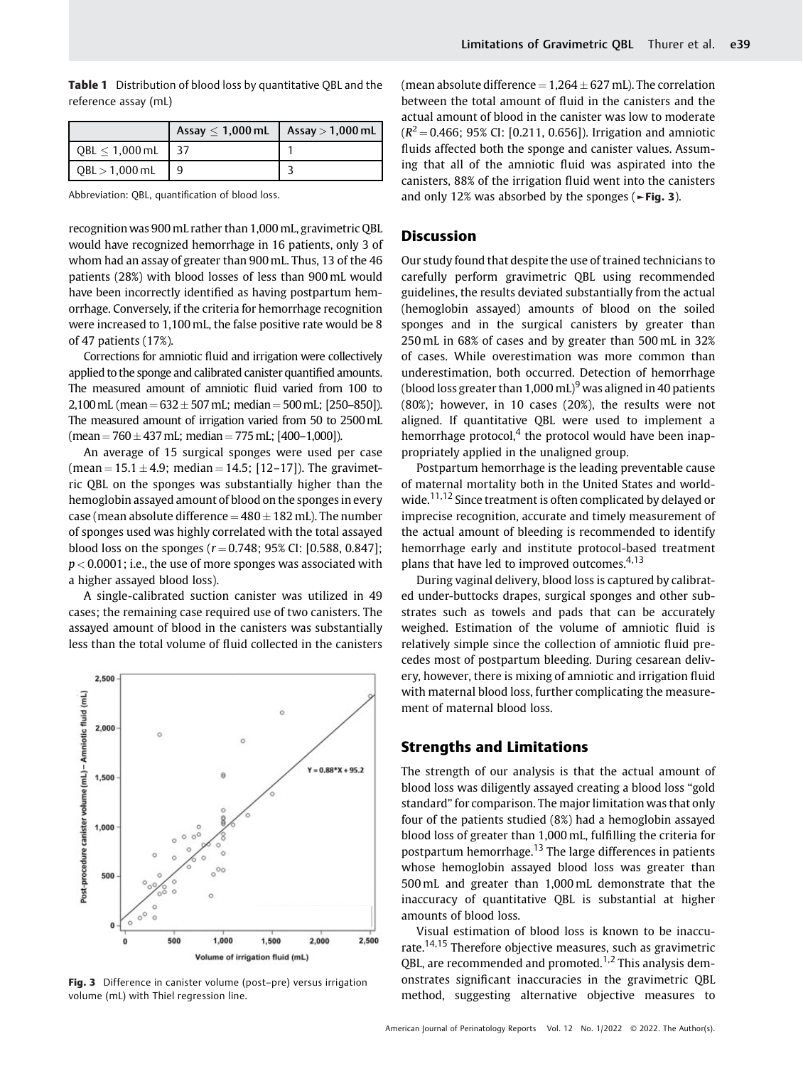|                             | Assay $< 1,000$ mL | Assay $>$ 1,000 mL |
|-----------------------------|--------------------|--------------------|
| $\vert$ QBL $\leq$ 1,000 mL |                    |                    |
| QBL > 1,000 mL              |                    |                    |

Table 1 Distribution of blood loss by quantitative OBL and the

Abbreviation: QBL, quantification of blood loss.

reference assay (mL)

recognition was 900 mL rather than 1,000mL, gravimetric QBL would have recognized hemorrhage in 16 patients, only 3 of whom had an assay of greater than 900mL. Thus, 13 of the 46 patients (28%) with blood losses of less than 900mL would have been incorrectly identified as having postpartum hemorrhage. Conversely, if the criteria for hemorrhage recognition were increased to 1,100mL, the false positive rate would be 8 of 47 patients (17%).

Corrections for amniotic fluid and irrigation were collectively applied to the sponge and calibrated canister quantified amounts. The measured amount of amniotic fluid varied from 100 to  $2,100\,\mathrm{mL}$  (mean  $= 632 \pm 507\,\mathrm{mL}$ ; median  $= 500\,\mathrm{mL}$ ; [250–850]). The measured amount of irrigation varied from 50 to 2500mL (mean = 760  $\pm$  437 mL; median = 775 mL; [400–1,000]).

An average of 15 surgical sponges were used per case  $(\text{mean} = 15.1 \pm 4.9; \text{ median} = 14.5; [12-17])$ . The gravimetric QBL on the sponges was substantially higher than the hemoglobin assayed amount of blood on the sponges in every case (mean absolute difference  $=$  480  $\pm$  182 mL). The number of sponges used was highly correlated with the total assayed blood loss on the sponges ( $r = 0.748$ ; 95% CI: [0.588, 0.847];  $p < 0.0001$ ; i.e., the use of more sponges was associated with a higher assayed blood loss).

A single-calibrated suction canister was utilized in 49 cases; the remaining case required use of two canisters. The assayed amount of blood in the canisters was substantially less than the total volume of fluid collected in the canisters



Fig. 3 Difference in canister volume (post-pre) versus irrigation volume (mL) with Thiel regression line.

(mean absolute difference  $= 1,264 \pm 627$  mL). The correlation between the total amount of fluid in the canisters and the actual amount of blood in the canister was low to moderate  $(R^2 = 0.466$ ; 95% CI: [0.211, 0.656]). Irrigation and amniotic fluids affected both the sponge and canister values. Assuming that all of the amniotic fluid was aspirated into the canisters, 88% of the irrigation fluid went into the canisters and only 12% was absorbed by the sponges ( $\blacktriangleright$ Fig. 3).

## **Discussion**

Our study found that despite the use of trained technicians to carefully perform gravimetric QBL using recommended guidelines, the results deviated substantially from the actual (hemoglobin assayed) amounts of blood on the soiled sponges and in the surgical canisters by greater than 250 mL in 68% of cases and by greater than 500 mL in 32% of cases. While overestimation was more common than underestimation, both occurred. Detection of hemorrhage (blood loss greater than  $1,000$  mL)<sup>9</sup> was aligned in 40 patients (80%); however, in 10 cases (20%), the results were not aligned. If quantitative QBL were used to implement a hemorrhage protocol,<sup>4</sup> the protocol would have been inappropriately applied in the unaligned group.

Postpartum hemorrhage is the leading preventable cause of maternal mortality both in the United States and worldwide.<sup>11,12</sup> Since treatment is often complicated by delayed or imprecise recognition, accurate and timely measurement of the actual amount of bleeding is recommended to identify hemorrhage early and institute protocol-based treatment plans that have led to improved outcomes.<sup>4,13</sup>

During vaginal delivery, blood loss is captured by calibrated under-buttocks drapes, surgical sponges and other substrates such as towels and pads that can be accurately weighed. Estimation of the volume of amniotic fluid is relatively simple since the collection of amniotic fluid precedes most of postpartum bleeding. During cesarean delivery, however, there is mixing of amniotic and irrigation fluid with maternal blood loss, further complicating the measurement of maternal blood loss.

## Strengths and Limitations

The strength of our analysis is that the actual amount of blood loss was diligently assayed creating a blood loss "gold standard" for comparison. The major limitation was that only four of the patients studied (8%) had a hemoglobin assayed blood loss of greater than 1,000 mL, fulfilling the criteria for postpartum hemorrhage.<sup>13</sup> The large differences in patients whose hemoglobin assayed blood loss was greater than 500 mL and greater than 1,000 mL demonstrate that the inaccuracy of quantitative QBL is substantial at higher amounts of blood loss.

Visual estimation of blood loss is known to be inaccurate.14,15 Therefore objective measures, such as gravimetric OBL, are recommended and promoted.<sup>1,2</sup> This analysis demonstrates significant inaccuracies in the gravimetric QBL method, suggesting alternative objective measures to